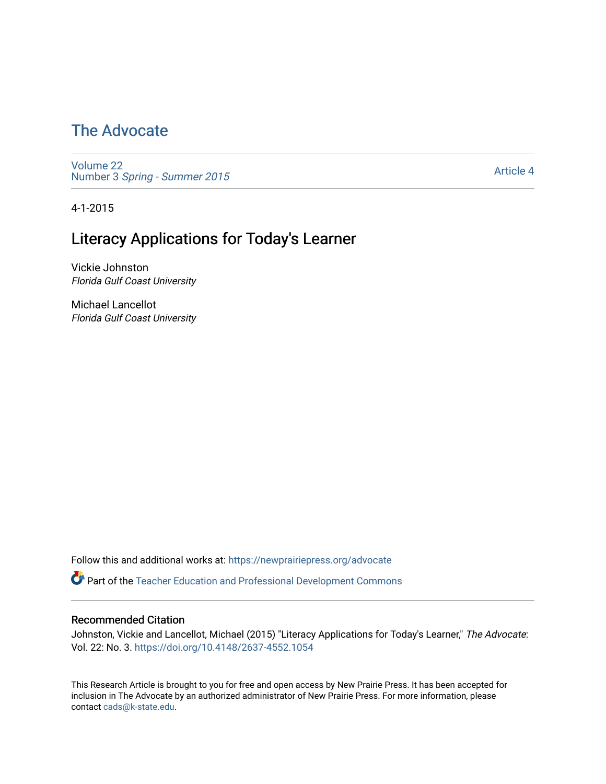### [The Advocate](https://newprairiepress.org/advocate)

[Volume 22](https://newprairiepress.org/advocate/vol22) Number 3 [Spring - Summer 2015](https://newprairiepress.org/advocate/vol22/iss3) 

[Article 4](https://newprairiepress.org/advocate/vol22/iss3/4) 

4-1-2015

### Literacy Applications for Today's Learner

Vickie Johnston Florida Gulf Coast University

Michael Lancellot Florida Gulf Coast University

Follow this and additional works at: [https://newprairiepress.org/advocate](https://newprairiepress.org/advocate?utm_source=newprairiepress.org%2Fadvocate%2Fvol22%2Fiss3%2F4&utm_medium=PDF&utm_campaign=PDFCoverPages) 

Part of the [Teacher Education and Professional Development Commons](http://network.bepress.com/hgg/discipline/803?utm_source=newprairiepress.org%2Fadvocate%2Fvol22%2Fiss3%2F4&utm_medium=PDF&utm_campaign=PDFCoverPages) 

#### Recommended Citation

Johnston, Vickie and Lancellot, Michael (2015) "Literacy Applications for Today's Learner," The Advocate: Vol. 22: No. 3.<https://doi.org/10.4148/2637-4552.1054>

This Research Article is brought to you for free and open access by New Prairie Press. It has been accepted for inclusion in The Advocate by an authorized administrator of New Prairie Press. For more information, please contact [cads@k-state.edu](mailto:cads@k-state.edu).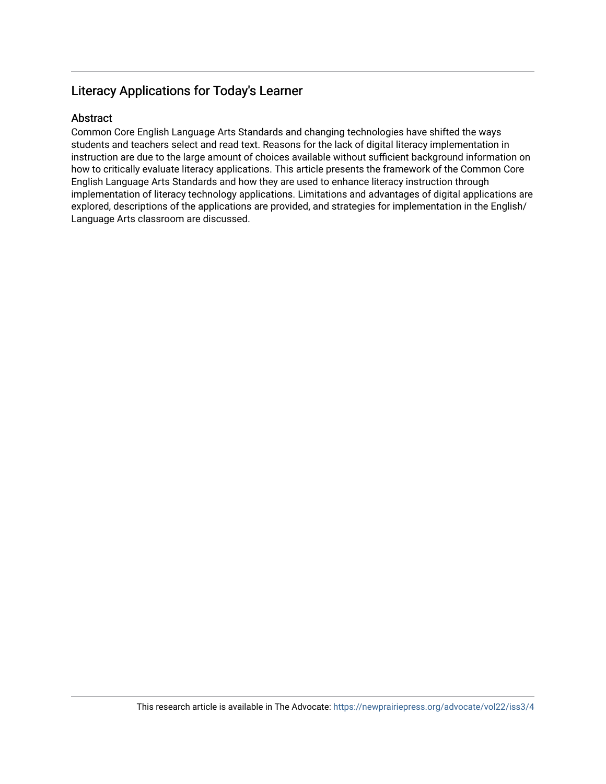### Literacy Applications for Today's Learner

#### Abstract

Common Core English Language Arts Standards and changing technologies have shifted the ways students and teachers select and read text. Reasons for the lack of digital literacy implementation in instruction are due to the large amount of choices available without sufficient background information on how to critically evaluate literacy applications. This article presents the framework of the Common Core English Language Arts Standards and how they are used to enhance literacy instruction through implementation of literacy technology applications. Limitations and advantages of digital applications are explored, descriptions of the applications are provided, and strategies for implementation in the English/ Language Arts classroom are discussed.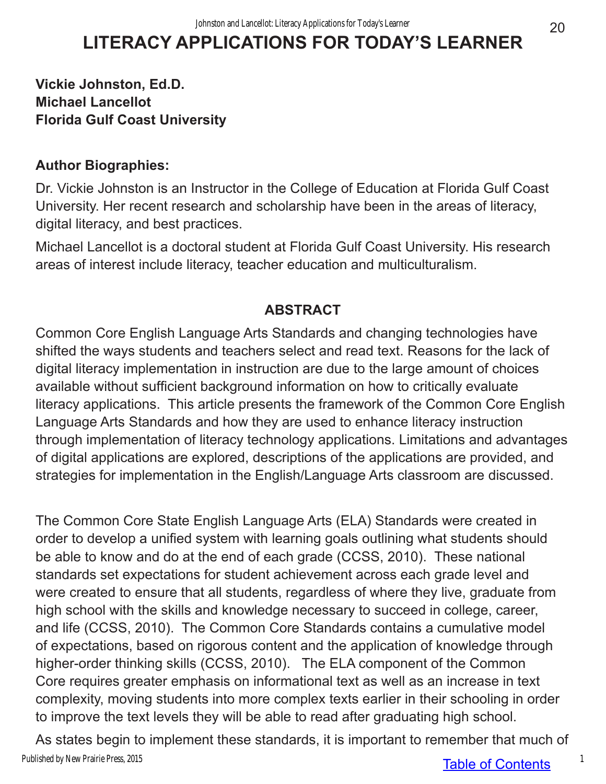# **LITERACY APPLICATIONS FOR TODAY'S LEARNER**

### **Vickie Johnston, Ed.D. Michael Lancellot Florida Gulf Coast University**

### **Author Biographies:**

Dr. Vickie Johnston is an Instructor in the College of Education at Florida Gulf Coast University. Her recent research and scholarship have been in the areas of literacy, digital literacy, and best practices.

Michael Lancellot is a doctoral student at Florida Gulf Coast University. His research areas of interest include literacy, teacher education and multiculturalism.

### **ABSTRACT**

Common Core English Language Arts Standards and changing technologies have shifted the ways students and teachers select and read text. Reasons for the lack of digital literacy implementation in instruction are due to the large amount of choices available without sufficient background information on how to critically evaluate literacy applications. This article presents the framework of the Common Core English Language Arts Standards and how they are used to enhance literacy instruction through implementation of literacy technology applications. Limitations and advantages of digital applications are explored, descriptions of the applications are provided, and strategies for implementation in the English/Language Arts classroom are discussed.

The Common Core State English Language Arts (ELA) Standards were created in order to develop a unified system with learning goals outlining what students should be able to know and do at the end of each grade (CCSS, 2010). These national standards set expectations for student achievement across each grade level and were created to ensure that all students, regardless of where they live, graduate from high school with the skills and knowledge necessary to succeed in college, career, and life (CCSS, 2010). The Common Core Standards contains a cumulative model of expectations, based on rigorous content and the application of knowledge through higher-order thinking skills (CCSS, 2010). The ELA component of the Common Core requires greater emphasis on informational text as well as an increase in text complexity, moving students into more complex texts earlier in their schooling in order to improve the text levels they will be able to read after graduating high school.

Table of Contents As states begin to implement these standards, it is important to remember that much of Published by New Prairie Press, 2015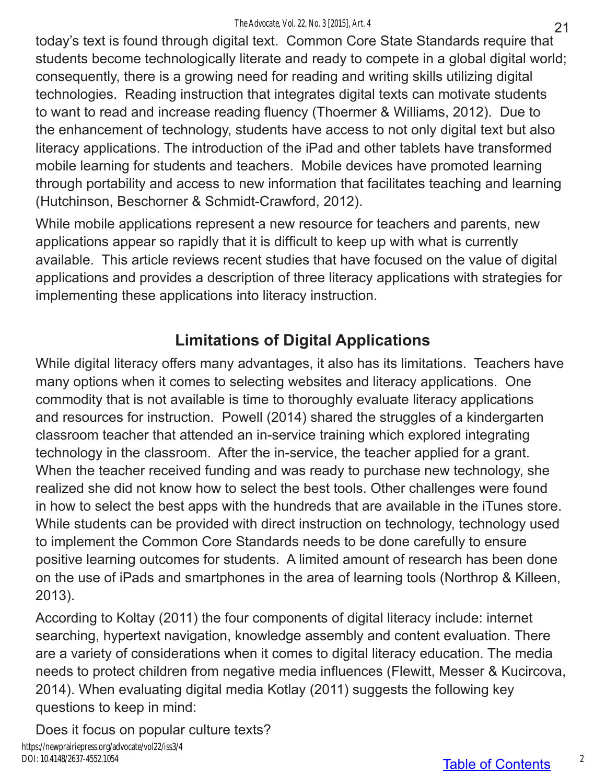today's text is found through digital text. Common Core State Standards require that students become technologically literate and ready to compete in a global digital world; consequently, there is a growing need for reading and writing skills utilizing digital technologies. Reading instruction that integrates digital texts can motivate students to want to read and increase reading fluency (Thoermer & Williams, 2012). Due to the enhancement of technology, students have access to not only digital text but also literacy applications. The introduction of the iPad and other tablets have transformed mobile learning for students and teachers. Mobile devices have promoted learning through portability and access to new information that facilitates teaching and learning (Hutchinson, Beschorner & Schmidt-Crawford, 2012).

While mobile applications represent a new resource for teachers and parents, new applications appear so rapidly that it is difficult to keep up with what is currently available. This article reviews recent studies that have focused on the value of digital applications and provides a description of three literacy applications with strategies for implementing these applications into literacy instruction.

# **Limitations of Digital Applications**

While digital literacy offers many advantages, it also has its limitations. Teachers have many options when it comes to selecting websites and literacy applications. One commodity that is not available is time to thoroughly evaluate literacy applications and resources for instruction. Powell (2014) shared the struggles of a kindergarten classroom teacher that attended an in-service training which explored integrating technology in the classroom. After the in-service, the teacher applied for a grant. When the teacher received funding and was ready to purchase new technology, she realized she did not know how to select the best tools. Other challenges were found in how to select the best apps with the hundreds that are available in the iTunes store. While students can be provided with direct instruction on technology, technology used to implement the Common Core Standards needs to be done carefully to ensure positive learning outcomes for students. A limited amount of research has been done on the use of iPads and smartphones in the area of learning tools (Northrop & Killeen, 2013).

According to Koltay (2011) the four components of digital literacy include: internet searching, hypertext navigation, knowledge assembly and content evaluation. There are a variety of considerations when it comes to digital literacy education. The media needs to protect children from negative media influences (Flewitt, Messer & Kucircova, 2014). When evaluating digital media Kotlay (2011) suggests the following key questions to keep in mind:

Does it focus on popular culture texts?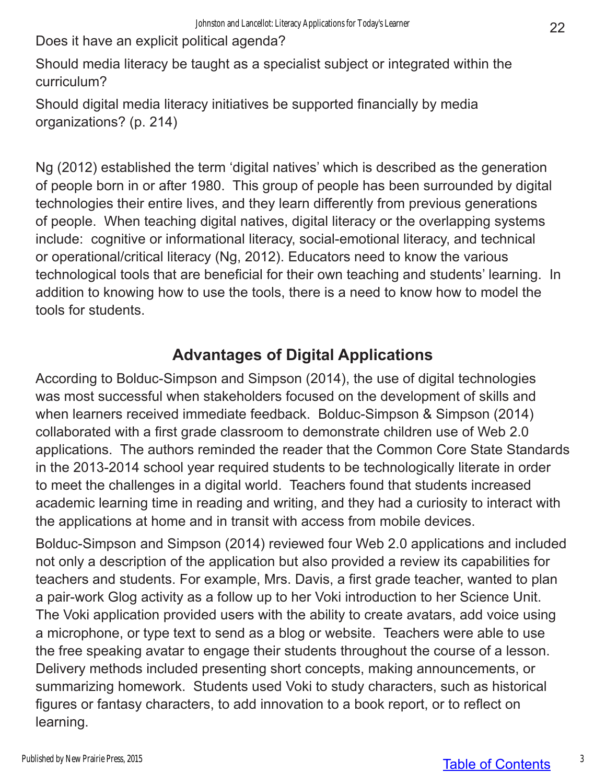Does it have an explicit political agenda?

Should media literacy be taught as a specialist subject or integrated within the curriculum?

Should digital media literacy initiatives be supported financially by media organizations? (p. 214)

Ng (2012) established the term 'digital natives' which is described as the generation of people born in or after 1980. This group of people has been surrounded by digital technologies their entire lives, and they learn differently from previous generations of people. When teaching digital natives, digital literacy or the overlapping systems include: cognitive or informational literacy, social-emotional literacy, and technical or operational/critical literacy (Ng, 2012). Educators need to know the various technological tools that are beneficial for their own teaching and students' learning. In addition to knowing how to use the tools, there is a need to know how to model the tools for students.

### **Advantages of Digital Applications**

According to Bolduc-Simpson and Simpson (2014), the use of digital technologies was most successful when stakeholders focused on the development of skills and when learners received immediate feedback. Bolduc-Simpson & Simpson (2014) collaborated with a first grade classroom to demonstrate children use of Web 2.0 applications. The authors reminded the reader that the Common Core State Standards in the 2013-2014 school year required students to be technologically literate in order to meet the challenges in a digital world. Teachers found that students increased academic learning time in reading and writing, and they had a curiosity to interact with the applications at home and in transit with access from mobile devices.

Bolduc-Simpson and Simpson (2014) reviewed four Web 2.0 applications and included not only a description of the application but also provided a review its capabilities for teachers and students. For example, Mrs. Davis, a first grade teacher, wanted to plan a pair-work Glog activity as a follow up to her Voki introduction to her Science Unit. The Voki application provided users with the ability to create avatars, add voice using a microphone, or type text to send as a blog or website. Teachers were able to use the free speaking avatar to engage their students throughout the course of a lesson. Delivery methods included presenting short concepts, making announcements, or summarizing homework. Students used Voki to study characters, such as historical figures or fantasy characters, to add innovation to a book report, or to reflect on learning.

3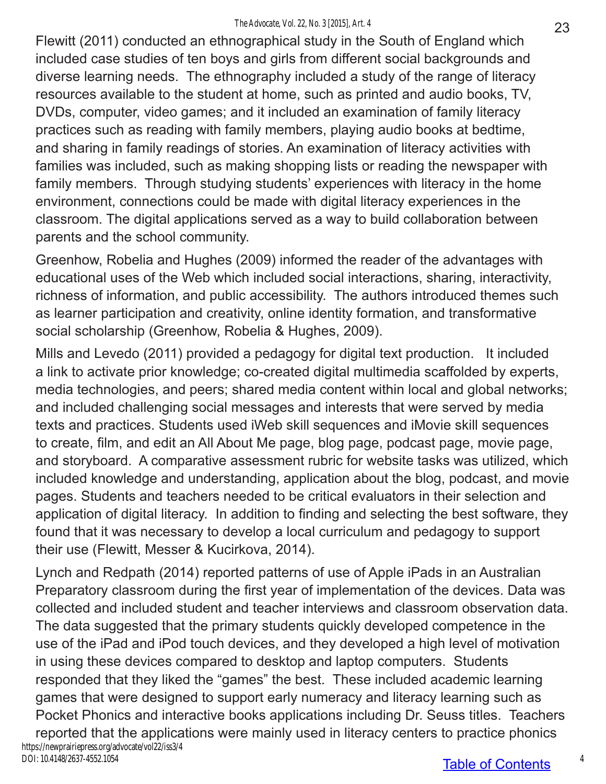#### *The Advocate, Vol. 22, No. 3 [2015], Art. 4*

Flewitt (2011) conducted an ethnographical study in the South of England which included case studies of ten boys and girls from different social backgrounds and diverse learning needs. The ethnography included a study of the range of literacy resources available to the student at home, such as printed and audio books, TV, DVDs, computer, video games; and it included an examination of family literacy practices such as reading with family members, playing audio books at bedtime, and sharing in family readings of stories. An examination of literacy activities with families was included, such as making shopping lists or reading the newspaper with family members. Through studying students' experiences with literacy in the home environment, connections could be made with digital literacy experiences in the classroom. The digital applications served as a way to build collaboration between parents and the school community.

Greenhow, Robelia and Hughes (2009) informed the reader of the advantages with educational uses of the Web which included social interactions, sharing, interactivity, richness of information, and public accessibility. The authors introduced themes such as learner participation and creativity, online identity formation, and transformative social scholarship (Greenhow, Robelia & Hughes, 2009).

Mills and Levedo (2011) provided a pedagogy for digital text production. It included a link to activate prior knowledge; co-created digital multimedia scaffolded by experts, media technologies, and peers; shared media content within local and global networks; and included challenging social messages and interests that were served by media texts and practices. Students used iWeb skill sequences and iMovie skill sequences to create, film, and edit an All About Me page, blog page, podcast page, movie page, and storyboard. A comparative assessment rubric for website tasks was utilized, which included knowledge and understanding, application about the blog, podcast, and movie pages. Students and teachers needed to be critical evaluators in their selection and application of digital literacy. In addition to finding and selecting the best software, they found that it was necessary to develop a local curriculum and pedagogy to support their use (Flewitt, Messer & Kucirkova, 2014).

Lynch and Redpath (2014) reported patterns of use of Apple iPads in an Australian Preparatory classroom during the first year of implementation of the devices. Data was collected and included student and teacher interviews and classroom observation data. The data suggested that the primary students quickly developed competence in the use of the iPad and iPod touch devices, and they developed a high level of motivation in using these devices compared to desktop and laptop computers. Students responded that they liked the "games" the best. These included academic learning games that were designed to support early numeracy and literacy learning such as Pocket Phonics and interactive books applications including Dr. Seuss titles. Teachers reported that the applications were mainly used in literacy centers to practice phonics https://newprairiepress.org/advocate/vol22/iss3/4 DOI: 10.4148/2637-4552.1054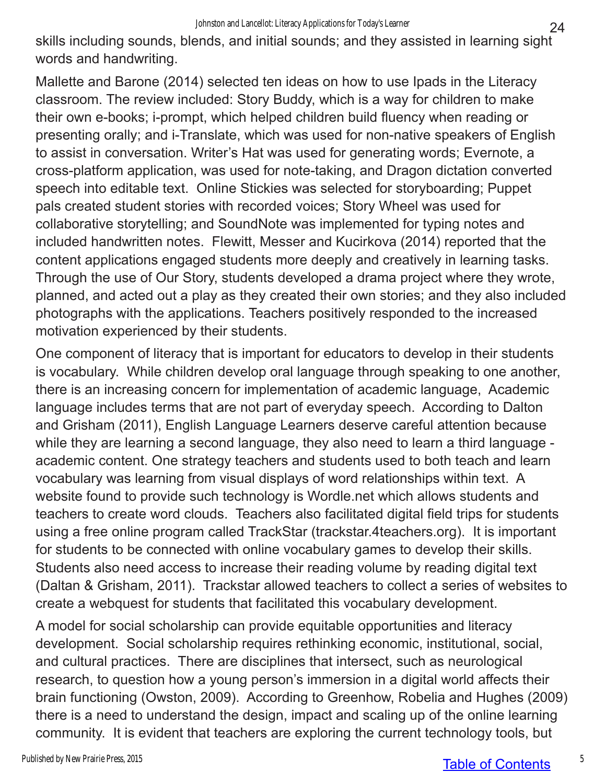skills including sounds, blends, and initial sounds; and they assisted in learning sight words and handwriting.

Mallette and Barone (2014) selected ten ideas on how to use Ipads in the Literacy classroom. The review included: Story Buddy, which is a way for children to make their own e-books; i-prompt, which helped children build fluency when reading or presenting orally; and i-Translate, which was used for non-native speakers of English to assist in conversation. Writer's Hat was used for generating words; Evernote, a cross-platform application, was used for note-taking, and Dragon dictation converted speech into editable text. Online Stickies was selected for storyboarding; Puppet pals created student stories with recorded voices; Story Wheel was used for collaborative storytelling; and SoundNote was implemented for typing notes and included handwritten notes. Flewitt, Messer and Kucirkova (2014) reported that the content applications engaged students more deeply and creatively in learning tasks. Through the use of Our Story, students developed a drama project where they wrote, planned, and acted out a play as they created their own stories; and they also included photographs with the applications. Teachers positively responded to the increased motivation experienced by their students.

One component of literacy that is important for educators to develop in their students is vocabulary. While children develop oral language through speaking to one another, there is an increasing concern for implementation of academic language, Academic language includes terms that are not part of everyday speech. According to Dalton and Grisham (2011), English Language Learners deserve careful attention because while they are learning a second language, they also need to learn a third language academic content. One strategy teachers and students used to both teach and learn vocabulary was learning from visual displays of word relationships within text. A website found to provide such technology is Wordle.net which allows students and teachers to create word clouds. Teachers also facilitated digital field trips for students using a free online program called TrackStar (trackstar.4teachers.org). It is important for students to be connected with online vocabulary games to develop their skills. Students also need access to increase their reading volume by reading digital text (Daltan & Grisham, 2011). Trackstar allowed teachers to collect a series of websites to create a webquest for students that facilitated this vocabulary development.

A model for social scholarship can provide equitable opportunities and literacy development. Social scholarship requires rethinking economic, institutional, social, and cultural practices. There are disciplines that intersect, such as neurological research, to question how a young person's immersion in a digital world affects their brain functioning (Owston, 2009). According to Greenhow, Robelia and Hughes (2009) there is a need to understand the design, impact and scaling up of the online learning community. It is evident that teachers are exploring the current technology tools, but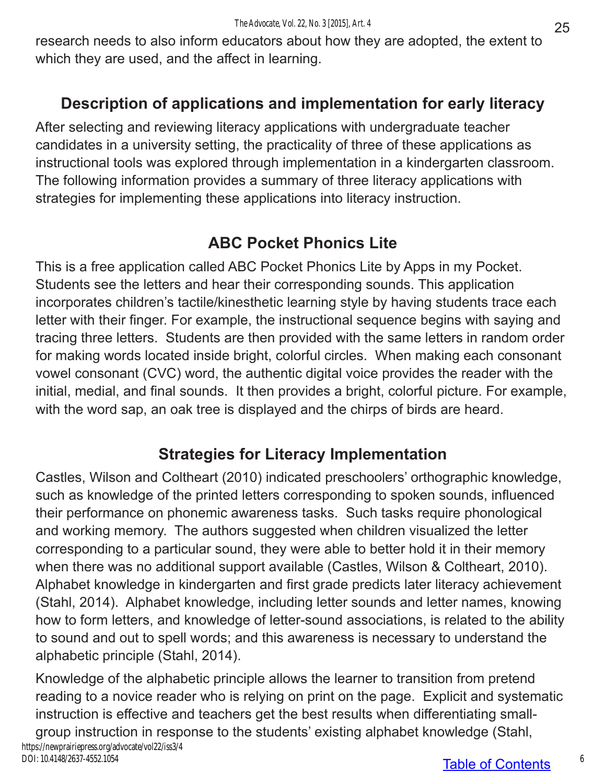research needs to also inform educators about how they are adopted, the extent to which they are used, and the affect in learning.

## **Description of applications and implementation for early literacy**

After selecting and reviewing literacy applications with undergraduate teacher candidates in a university setting, the practicality of three of these applications as instructional tools was explored through implementation in a kindergarten classroom. The following information provides a summary of three literacy applications with strategies for implementing these applications into literacy instruction.

## **ABC Pocket Phonics Lite**

This is a free application called ABC Pocket Phonics Lite by Apps in my Pocket. Students see the letters and hear their corresponding sounds. This application incorporates children's tactile/kinesthetic learning style by having students trace each letter with their finger. For example, the instructional sequence begins with saying and tracing three letters. Students are then provided with the same letters in random order for making words located inside bright, colorful circles. When making each consonant vowel consonant (CVC) word, the authentic digital voice provides the reader with the initial, medial, and final sounds. It then provides a bright, colorful picture. For example, with the word sap, an oak tree is displayed and the chirps of birds are heard.

## **Strategies for Literacy Implementation**

Castles, Wilson and Coltheart (2010) indicated preschoolers' orthographic knowledge, such as knowledge of the printed letters corresponding to spoken sounds, influenced their performance on phonemic awareness tasks. Such tasks require phonological and working memory. The authors suggested when children visualized the letter corresponding to a particular sound, they were able to better hold it in their memory when there was no additional support available (Castles, Wilson & Coltheart, 2010). Alphabet knowledge in kindergarten and first grade predicts later literacy achievement (Stahl, 2014). Alphabet knowledge, including letter sounds and letter names, knowing how to form letters, and knowledge of letter-sound associations, is related to the ability to sound and out to spell words; and this awareness is necessary to understand the alphabetic principle (Stahl, 2014).

Knowledge of the alphabetic principle allows the learner to transition from pretend reading to a novice reader who is relying on print on the page. Explicit and systematic instruction is effective and teachers get the best results when differentiating smallgroup instruction in response to the students' existing alphabet knowledge (Stahl,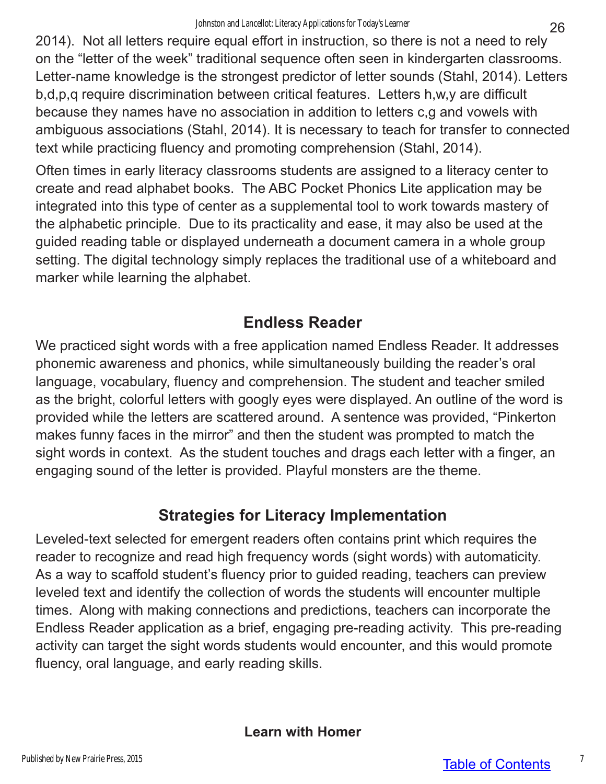2014). Not all letters require equal effort in instruction, so there is not a need to rely on the "letter of the week" traditional sequence often seen in kindergarten classrooms. Letter-name knowledge is the strongest predictor of letter sounds (Stahl, 2014). Letters b,d,p,q require discrimination between critical features. Letters h,w,y are difficult because they names have no association in addition to letters c,g and vowels with ambiguous associations (Stahl, 2014). It is necessary to teach for transfer to connected text while practicing fluency and promoting comprehension (Stahl, 2014).

Often times in early literacy classrooms students are assigned to a literacy center to create and read alphabet books. The ABC Pocket Phonics Lite application may be integrated into this type of center as a supplemental tool to work towards mastery of the alphabetic principle. Due to its practicality and ease, it may also be used at the guided reading table or displayed underneath a document camera in a whole group setting. The digital technology simply replaces the traditional use of a whiteboard and marker while learning the alphabet.

## **Endless Reader**

We practiced sight words with a free application named Endless Reader. It addresses phonemic awareness and phonics, while simultaneously building the reader's oral language, vocabulary, fluency and comprehension. The student and teacher smiled as the bright, colorful letters with googly eyes were displayed. An outline of the word is provided while the letters are scattered around. A sentence was provided, "Pinkerton makes funny faces in the mirror" and then the student was prompted to match the sight words in context. As the student touches and drags each letter with a finger, an engaging sound of the letter is provided. Playful monsters are the theme.

## **Strategies for Literacy Implementation**

Leveled-text selected for emergent readers often contains print which requires the reader to recognize and read high frequency words (sight words) with automaticity. As a way to scaffold student's fluency prior to guided reading, teachers can preview leveled text and identify the collection of words the students will encounter multiple times. Along with making connections and predictions, teachers can incorporate the Endless Reader application as a brief, engaging pre-reading activity. This pre-reading activity can target the sight words students would encounter, and this would promote fluency, oral language, and early reading skills.

**Learn with Homer**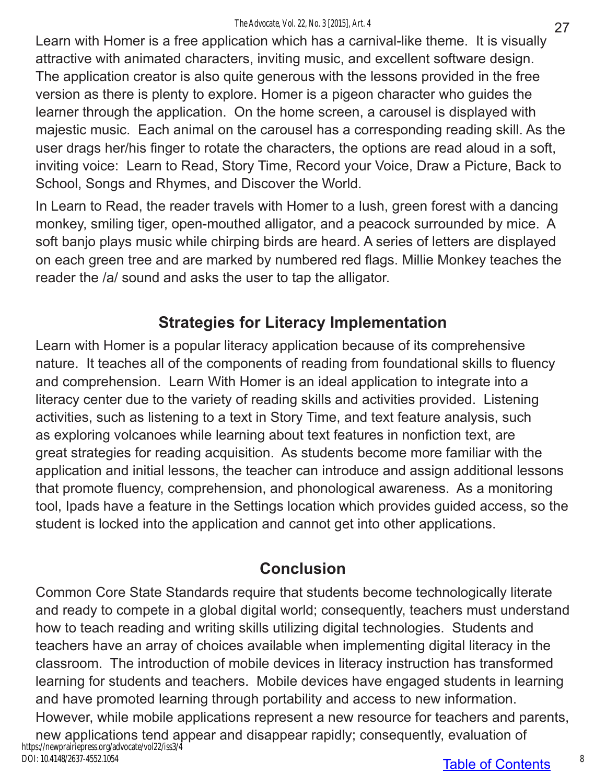Learn with Homer is a free application which has a carnival-like theme. It is visually attractive with animated characters, inviting music, and excellent software design. The application creator is also quite generous with the lessons provided in the free version as there is plenty to explore. Homer is a pigeon character who guides the learner through the application. On the home screen, a carousel is displayed with majestic music. Each animal on the carousel has a corresponding reading skill. As the user drags her/his finger to rotate the characters, the options are read aloud in a soft, inviting voice: Learn to Read, Story Time, Record your Voice, Draw a Picture, Back to School, Songs and Rhymes, and Discover the World.

In Learn to Read, the reader travels with Homer to a lush, green forest with a dancing monkey, smiling tiger, open-mouthed alligator, and a peacock surrounded by mice. A soft banjo plays music while chirping birds are heard. A series of letters are displayed on each green tree and are marked by numbered red flags. Millie Monkey teaches the reader the /a/ sound and asks the user to tap the alligator.

## **Strategies for Literacy Implementation**

Learn with Homer is a popular literacy application because of its comprehensive nature. It teaches all of the components of reading from foundational skills to fluency and comprehension. Learn With Homer is an ideal application to integrate into a literacy center due to the variety of reading skills and activities provided. Listening activities, such as listening to a text in Story Time, and text feature analysis, such as exploring volcanoes while learning about text features in nonfiction text, are great strategies for reading acquisition. As students become more familiar with the application and initial lessons, the teacher can introduce and assign additional lessons that promote fluency, comprehension, and phonological awareness. As a monitoring tool, Ipads have a feature in the Settings location which provides guided access, so the student is locked into the application and cannot get into other applications.

## **Conclusion**

Common Core State Standards require that students become technologically literate and ready to compete in a global digital world; consequently, teachers must understand how to teach reading and writing skills utilizing digital technologies. Students and teachers have an array of choices available when implementing digital literacy in the classroom. The introduction of mobile devices in literacy instruction has transformed learning for students and teachers. Mobile devices have engaged students in learning and have promoted learning through portability and access to new information. However, while mobile applications represent a new resource for teachers and parents, new applications tend appear and disappear rapidly; consequently, evaluation of https://newprairiepress.org/advocate/vol22/iss3/4 DOI: 10.4148/2637-4552.1054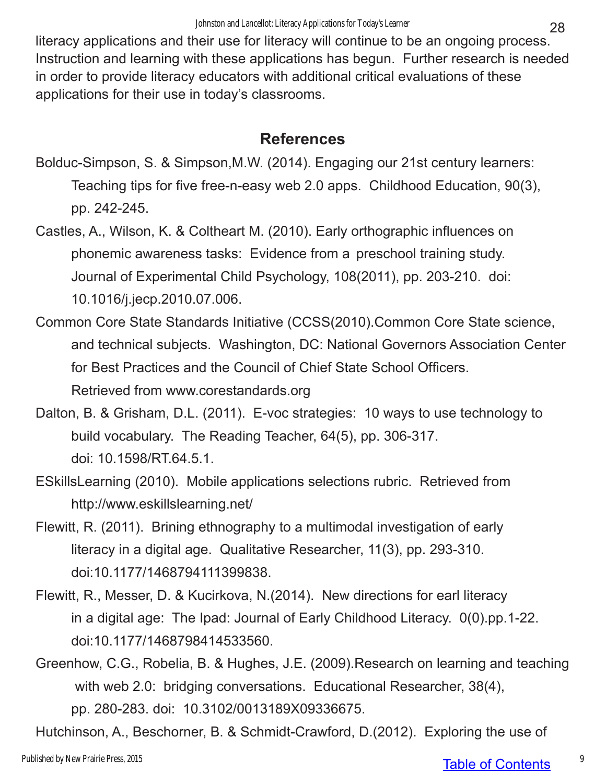literacy applications and their use for literacy will continue to be an ongoing process. Instruction and learning with these applications has begun. Further research is needed in order to provide literacy educators with additional critical evaluations of these applications for their use in today's classrooms.

### **References**

- Bolduc-Simpson, S. & Simpson,M.W. (2014). Engaging our 21st century learners: Teaching tips for five free-n-easy web 2.0 apps. Childhood Education, 90(3), pp. 242-245.
- Castles, A., Wilson, K. & Coltheart M. (2010). Early orthographic influences on phonemic awareness tasks: Evidence from a preschool training study. Journal of Experimental Child Psychology, 108(2011), pp. 203-210. doi: 10.1016/j.jecp.2010.07.006.
- Common Core State Standards Initiative (CCSS(2010).Common Core State science, and technical subjects. Washington, DC: National Governors Association Center for Best Practices and the Council of Chief State School Officers. Retrieved from www.corestandards.org
- Dalton, B. & Grisham, D.L. (2011). E-voc strategies: 10 ways to use technology to build vocabulary. The Reading Teacher, 64(5), pp. 306-317. doi: 10.1598/RT.64.5.1.
- ESkillsLearning (2010). Mobile applications selections rubric. Retrieved from http://www.eskillslearning.net/
- Flewitt, R. (2011). Brining ethnography to a multimodal investigation of early literacy in a digital age. Qualitative Researcher, 11(3), pp. 293-310. doi:10.1177/1468794111399838.
- Flewitt, R., Messer, D. & Kucirkova, N.(2014). New directions for earl literacy in a digital age: The Ipad: Journal of Early Childhood Literacy. 0(0).pp.1-22. doi:10.1177/1468798414533560.
- Greenhow, C.G., Robelia, B. & Hughes, J.E. (2009).Research on learning and teaching with web 2.0: bridging conversations. Educational Researcher, 38(4), pp. 280-283. doi: 10.3102/0013189X09336675.
- Hutchinson, A., Beschorner, B. & Schmidt-Crawford, D.(2012). Exploring the use of

### Table of Contents